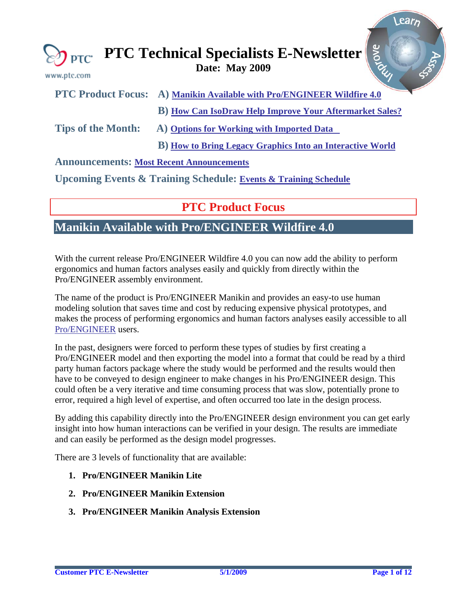<span id="page-0-0"></span>

| www.ptc.com               | $\bigotimes_{\text{PTC}}$ PTC Technical Specialists E-Newsletter $\left \frac{8}{3}\right $ |
|---------------------------|---------------------------------------------------------------------------------------------|
|                           | PTC Product Focus: A) Manikin Available with Pro/ENGINEER Wildfire 4.0                      |
|                           | <b>B</b> ) How Can IsoDraw Help Improve Your Aftermarket Sales?                             |
| <b>Tips of the Month:</b> | A) Options for Working with Imported Data                                                   |

 **B) [How to Bring Legacy Graphics Into an Interactive World](#page-7-0)** 

**Announcements: [Most Recent Announcements](#page-8-0)**

**Upcoming Events & Training Schedule: [Events & Training Schedule](#page-10-0)**

### **PTC Product Focus**

# **Manikin Available with Pro/ENGINEER Wildfire 4.0**

With the current release Pro/ENGINEER Wildfire 4.0 you can now add the ability to perform ergonomics and human factors analyses easily and quickly from directly within the Pro/ENGINEER assembly environment.

The name of the product is Pro/ENGINEER Manikin and provides an easy-to use human modeling solution that saves time and cost by reducing expensive physical prototypes, and makes the process of performing ergonomics and human factors analyses easily accessible to all [Pro/ENGINEER](http://www.ptc.com/products/proengineer) users.

In the past, designers were forced to perform these types of studies by first creating a Pro/ENGINEER model and then exporting the model into a format that could be read by a third party human factors package where the study would be performed and the results would then have to be conveyed to design engineer to make changes in his Pro/ENGINEER design. This could often be a very iterative and time consuming process that was slow, potentially prone to error, required a high level of expertise, and often occurred too late in the design process.

By adding this capability directly into the Pro/ENGINEER design environment you can get early insight into how human interactions can be verified in your design. The results are immediate and can easily be performed as the design model progresses.

There are 3 levels of functionality that are available:

- **1. Pro/ENGINEER Manikin Lite**
- **2. Pro/ENGINEER Manikin Extension**
- **3. Pro/ENGINEER Manikin Analysis Extension**

Learn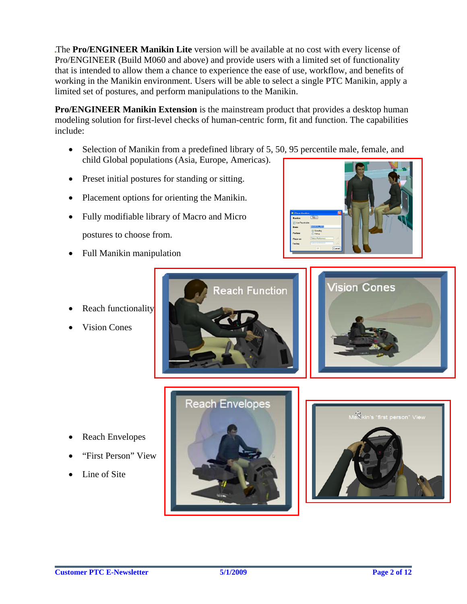The **Pro/ENGINEER Manikin Lite** version will be available at no cost with every license of Pro/ENGINEER (Build M060 and above) and provide users with a limited set of functionality that is intended to allow them a chance to experience the ease of use, workflow, and benefits of working in the Manikin environment. Users will be able to select a single PTC Manikin, apply a limited set of postures, and perform manipulations to the Manikin.

**Pro/ENGINEER Manikin Extension** is the mainstream product that provides a desktop human modeling solution for first-level checks of human-centric form, fit and function. The capabilities include:

- Selection of Manikin from a predefined library of 5, 50, 95 percentile male, female, and child Global populations (Asia, Europe, Americas).
- Preset initial postures for standing or sitting.
- Placement options for orienting the Manikin.
- Fully modifiable library of Macro and Micro postures to choose from.
- Full Manikin manipulation



- Reach functionality
- **Vision Cones**





- Reach Envelopes
- "First Person" View
- Line of Site



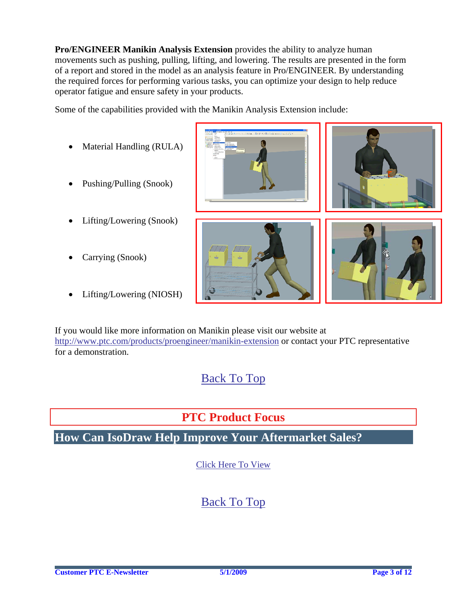<span id="page-2-0"></span>**Pro/ENGINEER Manikin Analysis Extension** provides the ability to analyze human movements such as pushing, pulling, lifting, and lowering. The results are presented in the form of a report and stored in the model as an analysis feature in Pro/ENGINEER. By understanding the required forces for performing various tasks, you can optimize your design to help reduce operator fatigue and ensure safety in your products.

Some of the capabilities provided with the Manikin Analysis Extension include:

- Material Handling (RULA)
- Pushing/Pulling (Snook)
- Lifting/Lowering (Snook)
- Carrying (Snook)
- Lifting/Lowering (NIOSH)









If you would like more information on Manikin please visit our website at <http://www.ptc.com/products/proengineer/manikin-extension>or contact your PTC representative for a demonstration.

[Back To Top](#page-0-0)

# **PTC Product Focus**

**How Can IsoDraw Help Improve Your Aftermarket Sales?** 

[Click Here To View](http://members.shaw.ca/jpeng/newsletter/PTC_Technical_Specialists_E-Newsletter_2009_05_enterprise.pdf)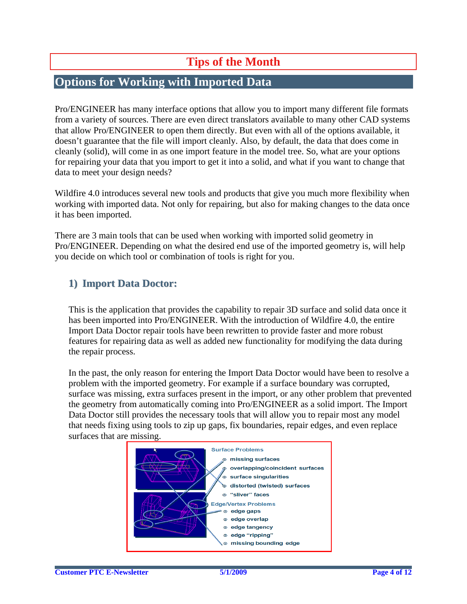# **Tips of the Month**

# <span id="page-3-0"></span>**Options for Working with Imported Data**

Pro/ENGINEER has many interface options that allow you to import many different file formats from a variety of sources. There are even direct translators available to many other CAD systems that allow Pro/ENGINEER to open them directly. But even with all of the options available, it doesn't guarantee that the file will import cleanly. Also, by default, the data that does come in cleanly (solid), will come in as one import feature in the model tree. So, what are your options for repairing your data that you import to get it into a solid, and what if you want to change that data to meet your design needs?

Wildfire 4.0 introduces several new tools and products that give you much more flexibility when working with imported data. Not only for repairing, but also for making changes to the data once it has been imported.

There are 3 main tools that can be used when working with imported solid geometry in Pro/ENGINEER. Depending on what the desired end use of the imported geometry is, will help you decide on which tool or combination of tools is right for you.

### **1) ImportDataDoctor:**

This is the application that provides the capability to repair 3D surface and solid data once it has been imported into Pro/ENGINEER. With the introduction of Wildfire 4.0, the entire Import Data Doctor repair tools have been rewritten to provide faster and more robust features for repairing data as well as added new functionality for modifying the data during the repair process.

In the past, the only reason for entering the Import Data Doctor would have been to resolve a problem with the imported geometry. For example if a surface boundary was corrupted, surface was missing, extra surfaces present in the import, or any other problem that prevented the geometry from automatically coming into Pro/ENGINEER as a solid import. The Import Data Doctor still provides the necessary tools that will allow you to repair most any model that needs fixing using tools to zip up gaps, fix boundaries, repair edges, and even replace surfaces that are missing.

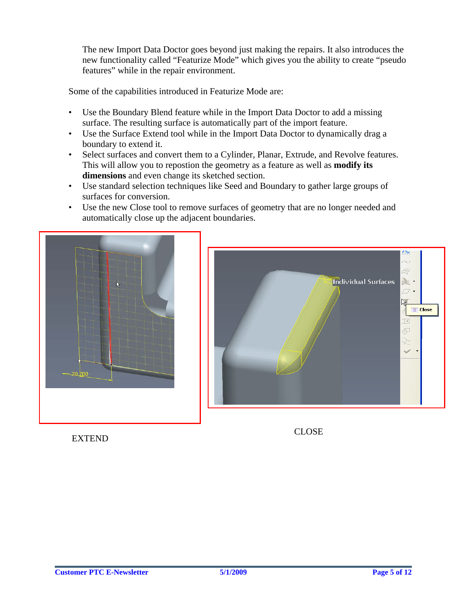The new Import Data Doctor goes beyond just making the repairs. It also introduces the new functionality called "Featurize Mode" which gives you the ability to create "pseudo features" while in the repair environment.

Some of the capabilities introduced in Featurize Mode are:

- Use the Boundary Blend feature while in the Import Data Doctor to add a missing surface. The resulting surface is automatically part of the import feature.
- Use the Surface Extend tool while in the Import Data Doctor to dynamically drag a boundary to extend it.
- Select surfaces and convert them to a Cylinder, Planar, Extrude, and Revolve features. This will allow you to repostion the geometry as a feature as well as **modify its dimensions** and even change its sketched section.
- Use standard selection techniques like Seed and Boundary to gather large groups of surfaces for conversion.
- Use the new Close tool to remove surfaces of geometry that are no longer needed and automatically close up the adjacent boundaries.



УŅ. Q Individual Surfaces  $\mathbb{R}$  .  $\sigma$ . 少 **Close**  $\rightarrow$  $\overline{\mathbb{Q}}$ 

EXTEND

CLOSE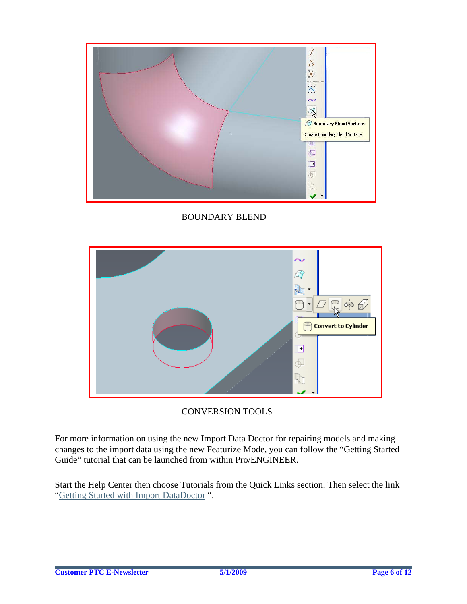

BOUNDARY BLEND



CONVERSION TOOLS

For more information on using the new Import Data Doctor for repairing models and making changes to the import data using the new Featurize Mode, you can follow the "Getting Started Guide" tutorial that can be launched from within Pro/ENGINEER.

Start the Help Center then choose Tutorials from the Quick Links section. Then select the link "Getting Started with Import DataDoctor ".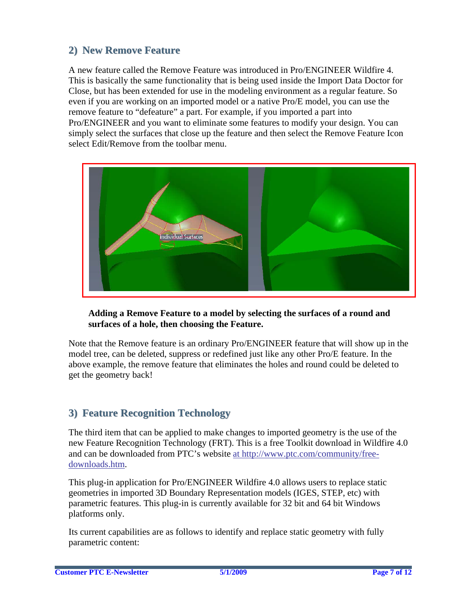### **2) New Remove Feature**

A new feature called the Remove Feature was introduced in Pro/ENGINEER Wildfire 4. This is basically the same functionality that is being used inside the Import Data Doctor for Close, but has been extended for use in the modeling environment as a regular feature. So even if you are working on an imported model or a native Pro/E model, you can use the remove feature to "defeature" a part. For example, if you imported a part into Pro/ENGINEER and you want to eliminate some features to modify your design. You can simply select the surfaces that close up the feature and then select the Remove Feature Icon select Edit/Remove from the toolbar menu.



### **Adding a Remove Feature to a model by selecting the surfaces of a round and surfaces of a hole, then choosing the Feature.**

Note that the Remove feature is an ordinary Pro/ENGINEER feature that will show up in the model tree, can be deleted, suppress or redefined just like any other Pro/E feature. In the above example, the remove feature that eliminates the holes and round could be deleted to get the geometry back!

### **3) Feature Recognition Technology**

The third item that can be applied to make changes to imported geometry is the use of the new Feature Recognition Technology (FRT). This is a free Toolkit download in Wildfire 4.0 and can be downloaded from PTC's website at http://www.ptc.com/community/freedownloads.htm.

This plug-in application for Pro/ENGINEER Wildfire 4.0 allows users to replace static geometries in imported 3D Boundary Representation models (IGES, STEP, etc) with parametric features. This plug-in is currently available for 32 bit and 64 bit Windows platforms only.

Its current capabilities are as follows to identify and replace static geometry with fully parametric content: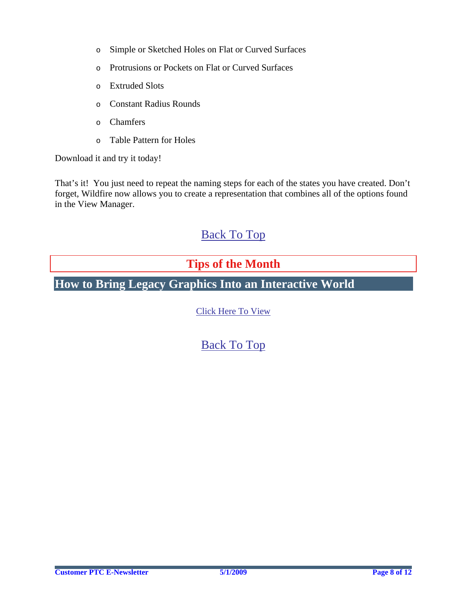- <span id="page-7-0"></span>o Simple or Sketched Holes on Flat or Curved Surfaces
- o Protrusions or Pockets on Flat or Curved Surfaces
- o Extruded Slots
- o Constant Radius Rounds
- o Chamfers
- o Table Pattern for Holes

Download it and try it today!

That's it! You just need to repeat the naming steps for each of the states you have created. Don't forget, Wildfire now allows you to create a representation that combines all of the options found in the View Manager.

## [Back To Top](#page-0-0)

## **Tips of the Month**

# **How to Bring Legacy Graphics Into an Interactive World**

[Click Here To View](http://members.shaw.ca/jpeng/newsletter/PTC_Technical_Specialists_E-Newsletter_2009_05_enterprise.pdf)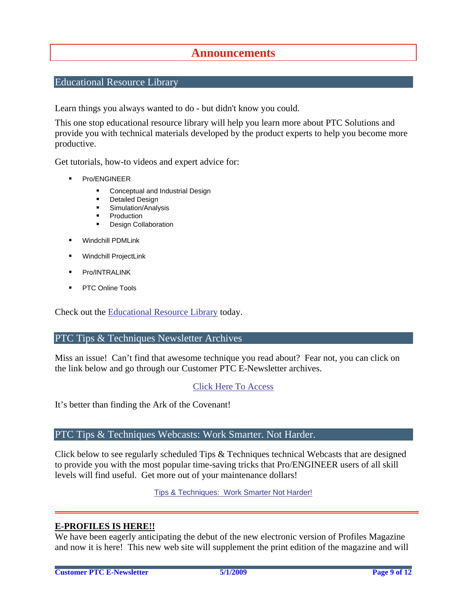### **Announcements**

### <span id="page-8-0"></span>Educational Resource Library

Learn things you always wanted to do - but didn't know you could.

This one stop educational resource library will help you learn more about PTC Solutions and provide you with technical materials developed by the product experts to help you become more productive.

Get tutorials, how-to videos and expert advice for:

- **Pro/ENGINEER** 
	- **EXECONCEPT** Conceptual and Industrial Design
	- **•** Detailed Design
	- **Simulation/Analysis**
	- Production
	- Design Collaboration
- Windchill PDMLink
- Windchill ProjectLink
- Pro/INTRALINK
- PTC Online Tools

Check out the [Educational Resource Library](http://www.ptc.com/community/proewf/newtools/tutorials.htm) today.

#### PTC Tips & Techniques Newsletter Archives

Miss an issue! Can't find that awesome technique you read about? Fear not, you can click on the link below and go through our Customer PTC E-Newsletter archives.

### [Click Here To Access](http://www.ptc.com/carezone/archive/index.htm)

It's better than finding the Ark of the Covenant!

### PTC Tips & Techniques Webcasts: Work Smarter. Not Harder.

Click below to see regularly scheduled Tips & Techniques technical Webcasts that are designed to provide you with the most popular time-saving tricks that Pro/ENGINEER users of all skill levels will find useful. Get more out of your maintenance dollars!

[Tips & Techniques: Work Smarter Not Harder!](http://www.ptc.com/appserver/it/icm/cda/template_lib/events/series.jsp?&im_dbkey=11442&icg_dbkey=141)

### **E-PROFILES IS HERE!!**

We have been eagerly anticipating the debut of the new electronic version of Profiles Magazine and now it is here! This new web site will supplement the print edition of the magazine and will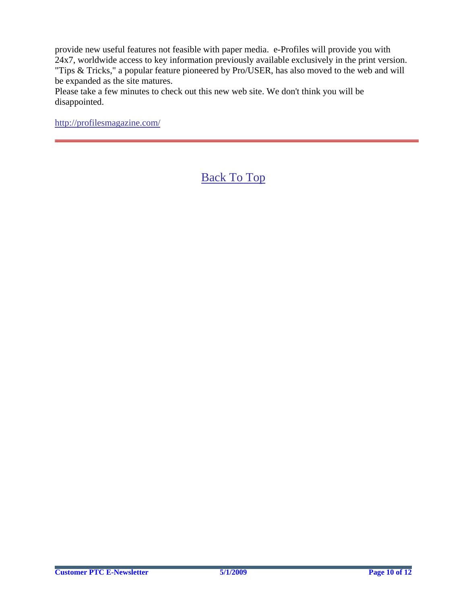provide new useful features not feasible with paper media. e-Profiles will provide you with 24x7, worldwide access to key information previously available exclusively in the print version. "Tips & Tricks," a popular feature pioneered by Pro/USER, has also moved to the web and will be expanded as the site matures.

Please take a few minutes to check out this new web site. We don't think you will be disappointed.

<http://profilesmagazine.com/>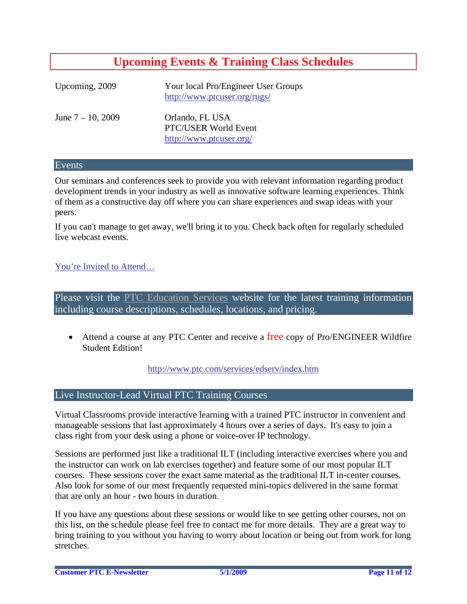## **Upcoming Events & Training Class Schedules**

<span id="page-10-0"></span>

| Upcoming, 2009       | Your local Pro/Engineer User Groups<br>http://www.ptcuser.org/rugs/ |
|----------------------|---------------------------------------------------------------------|
| June $7 - 10$ , 2009 | Orlando, FL USA<br>PTC/USER World Event<br>http://www.ptcuser.org/  |

#### Events

Our seminars and conferences seek to provide you with relevant information regarding product development trends in your industry as well as innovative software learning experiences. Think of them as a constructive day off where you can share experiences and swap ideas with your peers.

If you can't manage to get away, we'll bring it to you. Check back often for regularly scheduled live webcast events.

### [You're Invited to Attend…](http://www.ptc.com/company/news/events/index.htm)

Please visit the [PTC Education Services](http://www.ptc.com/services/edserv/) website for the latest training information including course descriptions, schedules, locations, and pricing.

• Attend a course at any PTC Center and receive a free copy of Pro/ENGINEER Wildfire Student Edition!

<http://www.ptc.com/services/edserv/index.htm>

### Live Instructor-Lead Virtual PTC Training Courses

Virtual Classrooms provide interactive learning with a trained PTC instructor in convenient and manageable sessions that last approximately 4 hours over a series of days. It's easy to join a class right from your desk using a phone or voice-over IP technology.

Sessions are performed just like a traditional ILT (including interactive exercises where you and the instructor can work on lab exercises together) and feature some of our most popular ILT courses. These sessions cover the exact same material as the traditional ILT in-center courses. Also look for some of our most frequently requested mini-topics delivered in the same format that are only an hour - two hours in duration.

If you have any questions about these sessions or would like to see getting other courses, not on this list, on the schedule please feel free to contact me for more details. They are a great way to bring training to you without you having to worry about location or being out from work for long stretches.